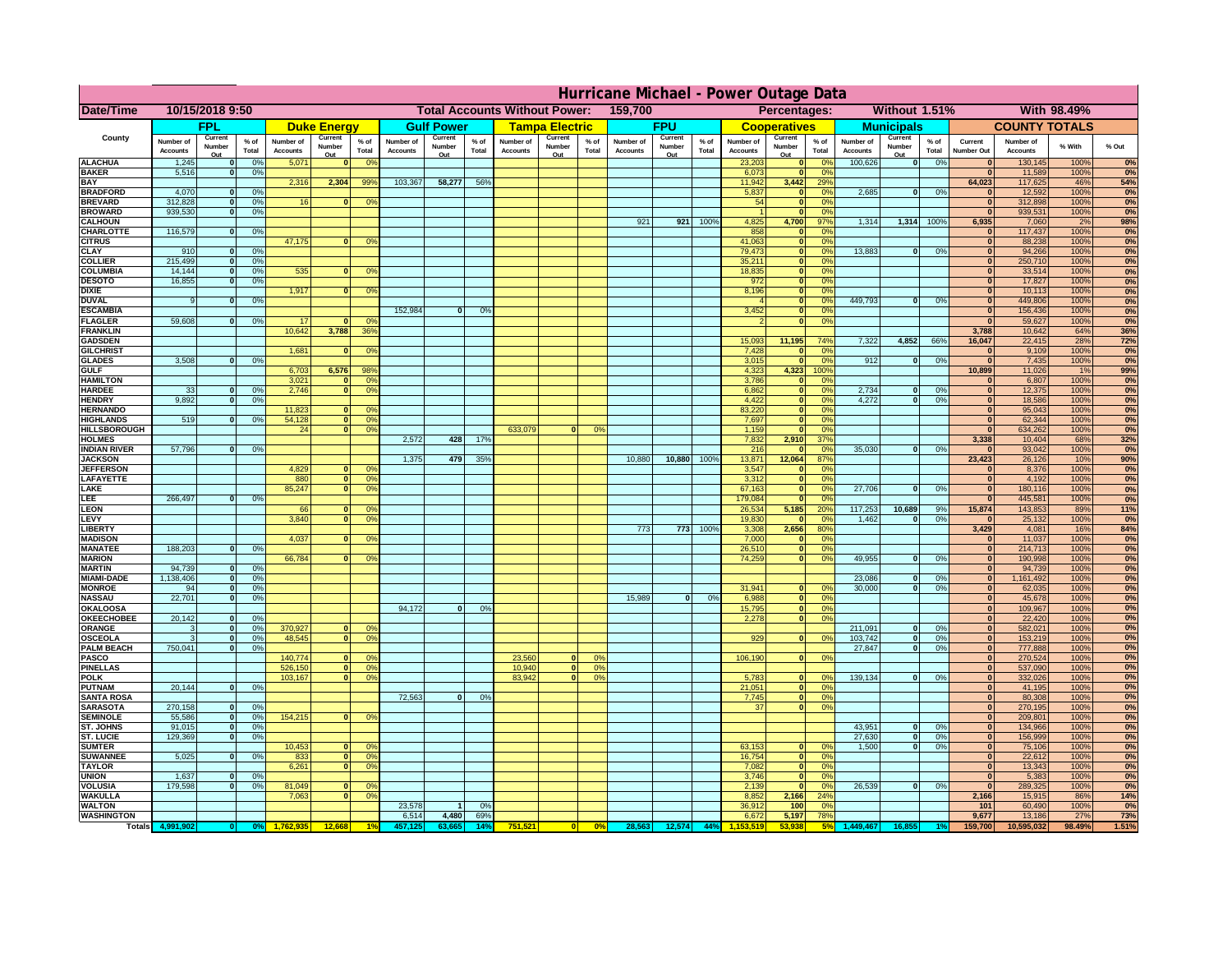|                                       | Hurricane Michael - Power Outage Data |                          |                                  |                              |                    |                                                 |                              |                   |                 |                              |                                              |                 |                       |                   |                 |                              |                              |                       |                              |                              |                 |                                   |                              |              |           |
|---------------------------------------|---------------------------------------|--------------------------|----------------------------------|------------------------------|--------------------|-------------------------------------------------|------------------------------|-------------------|-----------------|------------------------------|----------------------------------------------|-----------------|-----------------------|-------------------|-----------------|------------------------------|------------------------------|-----------------------|------------------------------|------------------------------|-----------------|-----------------------------------|------------------------------|--------------|-----------|
| <b>Date/Time</b>                      | 10/15/2018 9:50                       |                          |                                  |                              |                    | 159,700<br><b>Total Accounts Without Power:</b> |                              |                   |                 |                              | Without 1.51%<br>With 98.49%<br>Percentages: |                 |                       |                   |                 |                              |                              |                       |                              |                              |                 |                                   |                              |              |           |
|                                       |                                       | <b>FPL</b>               |                                  |                              | <b>Duke Energy</b> |                                                 |                              | <b>Gulf Power</b> |                 |                              | <b>Tampa Electric</b>                        |                 |                       | <b>FPU</b>        |                 |                              | <b>Cooperatives</b>          |                       |                              | <b>Municipals</b>            |                 |                                   | <b>COUNTY TOTALS</b>         |              |           |
| County                                | Number of<br><b>Accounts</b>          | Current<br>Number        | % of<br>Total                    | Number of<br><b>Accounts</b> | Current<br>Number  | $%$ of<br>Total                                 | Number of<br><b>Accounts</b> | Current<br>Number | $%$ of<br>Total | Number of<br><b>Accounts</b> | Current<br>Number                            | $%$ of<br>Total | Number of<br>Accounts | Current<br>Number | $%$ of<br>Total | Number of<br><b>Accounts</b> | Current<br>Number            | $%$ of<br>Total       | Number of<br><b>Accounts</b> | Current<br>Number            | $%$ of<br>Total | Current<br><b>Number Out</b>      | Number of<br><b>Accounts</b> | % With       | % Out     |
| <b>ALACHUA</b>                        | 1,245                                 | Out                      | 0 <sup>9</sup>                   | 5,071                        | Out<br>$\bf{0}$    | 0 <sup>9</sup>                                  |                              | Out               |                 |                              | Out                                          |                 |                       | Out               |                 | 23,203                       | Out<br>$\mathbf{0}$          | 0 <sup>9</sup>        | 100,626                      | Out<br> 0                    | 0%              | $\bf{0}$                          | 130,145                      | 100%         | 0%        |
| <b>BAKER</b>                          | 5,516                                 |                          | 0%                               |                              |                    |                                                 |                              |                   |                 |                              |                                              |                 |                       |                   |                 | 6,073                        | ō                            | 0%                    |                              |                              |                 | $\mathbf{0}$                      | 11,589                       | 100%         | 0%        |
| <b>BAY</b><br><b>BRADFORD</b>         | 4,070                                 |                          | 0 <sup>9</sup>                   | 2,316                        | 2,304              | 99%                                             | 103,367                      | 58,277            | 56%             |                              |                                              |                 |                       |                   |                 | 11,942<br>5,837              | 3,442<br>$\mathbf{0}$        | 29%<br>0%             | 2,685                        | 0                            | 0%              | 64,023<br>$\bf{0}$                | 117,625<br>12,592            | 46%<br>100%  | 54%<br>0% |
| <b>BREVARD</b>                        | 312,828                               |                          | 0 <sup>9</sup>                   | 16                           | $\mathbf{0}$       | 0%                                              |                              |                   |                 |                              |                                              |                 |                       |                   |                 | 54                           | $\mathbf{0}$                 | 0%                    |                              |                              |                 | $\mathbf{0}$                      | 312,898                      | 100%         | 0%        |
| <b>BROWARD</b>                        | 939.530                               |                          | 0 <sup>9</sup>                   |                              |                    |                                                 |                              |                   |                 |                              |                                              |                 |                       |                   |                 |                              | $\mathbf{0}$                 | 0%                    |                              |                              |                 | $\bf{0}$                          | 939,531                      | 100%         | 0%        |
| <b>CALHOUN</b>                        |                                       |                          |                                  |                              |                    |                                                 |                              |                   |                 |                              |                                              |                 | 921                   | 921               | 100%            | 4,825                        | 4,700                        | 97%                   | 1,314                        | 1,314 100%                   |                 | 6,935                             | 7,060                        | 2%           | 98%       |
| CHARLOTTE<br><b>CITRUS</b>            | 116,579                               |                          | 0%                               | 47,175                       | $\bf{0}$           | 0 <sup>9</sup>                                  |                              |                   |                 |                              |                                              |                 |                       |                   |                 | 858<br>41,063                | $\mathbf 0$<br>$\mathbf{0}$  | 0%<br>0 <sup>9</sup>  |                              |                              |                 | $\bf{0}$<br>$\bf{0}$              | 117,437<br>88,238            | 100%<br>100% | 0%<br>0%  |
| <b>CLAY</b>                           | 910                                   |                          | 0 <sup>9</sup>                   |                              |                    |                                                 |                              |                   |                 |                              |                                              |                 |                       |                   |                 | 79,473                       | $\mathbf{0}$                 | 0 <sup>9</sup>        | 13,883                       | $\mathbf{0}$                 | 0%              | $\bf{0}$                          | 94,266                       | 100%         | 0%        |
| <b>COLLIER</b>                        | 215,499                               |                          | 0 <sup>9</sup>                   |                              |                    |                                                 |                              |                   |                 |                              |                                              |                 |                       |                   |                 | 35,211                       | $\mathbf{0}$                 | 0%                    |                              |                              |                 | $\bf{0}$                          | 250,710                      | 100%         | 0%        |
| <b>COLUMBIA</b>                       | 14,144                                |                          | 0 <sup>9</sup>                   | 535                          | $\bf{0}$           | 0 <sup>9</sup>                                  |                              |                   |                 |                              |                                              |                 |                       |                   |                 | 18,835                       | ō                            | 0%                    |                              |                              |                 | $\bf{0}$                          | 33,514                       | 100%         | 0%        |
| <b>DESOTO</b>                         | 16,855                                |                          | 0 <sup>9</sup>                   | 1,917                        | $\mathbf{0}$       |                                                 |                              |                   |                 |                              |                                              |                 |                       |                   |                 | 972<br>8,196                 | ō                            | 0%<br>nº              |                              |                              |                 | $\bf{0}$<br>$\bf{0}$              | 17,827<br>10,113             | 100%<br>100% | 0%        |
| <b>DIXIE</b><br><b>DUVAL</b>          |                                       |                          | 0%                               |                              |                    | 0 <sup>o</sup>                                  |                              |                   |                 |                              |                                              |                 |                       |                   |                 |                              | $\mathbf{0}$<br>$\mathbf{0}$ | 0%                    | 449.793                      | ol                           | 0%              | $\Omega$                          | 449,806                      | 100%         | 0%<br>0%  |
| <b>ESCAMBIA</b>                       |                                       |                          |                                  |                              |                    |                                                 | 152,984                      | $\mathbf{0}$      | 0 <sup>9</sup>  |                              |                                              |                 |                       |                   |                 | 3,452                        | $\mathbf{0}$                 | 0%                    |                              |                              |                 | $\mathbf{0}$                      | 156,436                      | 100%         | 0%        |
| <b>FLAGLER</b>                        | 59,608                                |                          | 0%                               | 17                           | $\mathbf{r}$       | 0 <sup>9</sup>                                  |                              |                   |                 |                              |                                              |                 |                       |                   |                 |                              | $\bullet$                    | 0%                    |                              |                              |                 | $\mathbf{r}$                      | 59,627                       | 100%         | 0%        |
| <b>FRANKLIN</b>                       |                                       |                          |                                  | 10,642                       | 3,788              | 36%                                             |                              |                   |                 |                              |                                              |                 |                       |                   |                 |                              |                              |                       |                              |                              |                 | 3,788                             | 10,642                       | 64%          | 36%       |
| <b>GADSDEN</b><br><b>GILCHRIST</b>    |                                       |                          |                                  | 1,681                        | $\Omega$           | 0 <sup>9</sup>                                  |                              |                   |                 |                              |                                              |                 |                       |                   |                 | 15,093<br>7,428              | 11,195<br>$\mathbf{0}$       | 74%<br>0%             | 7,322                        | 4,852                        | 66%             | 16,047<br>$\overline{\mathbf{0}}$ | 22,415<br>9,109              | 28%<br>100%  | 72%<br>0% |
| <b>GLADES</b>                         | 3,508                                 |                          | 0 <sup>9</sup>                   |                              |                    |                                                 |                              |                   |                 |                              |                                              |                 |                       |                   |                 | 3,015                        | $\bullet$                    | 0%                    | 912                          | 0                            | 0%              | 0                                 | 7,435                        | 100%         | 0%        |
| <b>GULF</b>                           |                                       |                          |                                  | 6,703                        | 6,576              | 98%                                             |                              |                   |                 |                              |                                              |                 |                       |                   |                 | 4,323                        | 4,323                        | 100%                  |                              |                              |                 | 10,899                            | 11,026                       | 1%           | 99%       |
| <b>HAMILTON</b>                       |                                       |                          |                                  | 3,021                        |                    | 0 <sup>9</sup><br>n l                           |                              |                   |                 |                              |                                              |                 |                       |                   |                 | 3,786                        | $\mathbf{0}$                 | 0%                    |                              |                              |                 | $\Omega$                          | 6,807                        | 100%         | 0%        |
| <b>HARDEE</b><br><b>HENDRY</b>        | 33<br>9.892                           |                          | 0%<br>0%                         | 2.746                        |                    | n l<br>0 <sup>9</sup>                           |                              |                   |                 |                              |                                              |                 |                       |                   |                 | 6.862<br>4.422               | 0 <br> 0                     | 0%<br>0%              | 2.734<br>4.272               | $\mathbf{0}$<br>$\mathbf{0}$ | 0%<br>0%        | 0 <br> 0                          | 12,375<br>18.586             | 100%<br>100% | 0%        |
| <b>HERNANDO</b>                       |                                       |                          |                                  | 11,823                       | <sup>o</sup>       | $\Omega$                                        |                              |                   |                 |                              |                                              |                 |                       |                   |                 | 83,220                       | 0                            | 0%                    |                              |                              |                 | 0                                 | 95,043                       | 100%         | 0%<br>0%  |
| <b>HIGHLANDS</b>                      | 519                                   |                          | 0 <sup>9</sup>                   | 54,128                       |                    | $\overline{0}$<br>0%                            |                              |                   |                 |                              |                                              |                 |                       |                   |                 | 7,697                        | ō                            | 0%                    |                              |                              |                 | 0                                 | 62,344                       | 100%         | 0%        |
| <b>HILLSBOROUGH</b>                   |                                       |                          |                                  | 24                           |                    | $\overline{0}$<br>0%                            |                              |                   |                 | 633,079                      |                                              | 0 <sup>9</sup>  |                       |                   |                 | 1,159                        | $\mathbf{0}$                 | 0%                    |                              |                              |                 | 0                                 | 634,262                      | 100%         | 0%        |
| <b>HOLMES</b>                         |                                       |                          |                                  |                              |                    |                                                 | 2,572                        | 428               | 17%             |                              |                                              |                 |                       |                   |                 | 7,832                        | 2,910                        | 37%                   |                              |                              |                 | 3,338                             | 10,404                       | 68%          | 32%       |
| <b>INDIAN RIVER</b><br><b>JACKSON</b> | 57,796                                |                          | 0%                               |                              |                    |                                                 | 1,375                        | 479               | 35%             |                              |                                              |                 | 10,880                | 10,880            | 100%            | 216<br>13,871                | $\mathbf{0}$<br>12,064       | 0 <sup>9</sup><br>87% | 35,030                       | $\mathbf{0}$                 | 0%              | $\bf{0}$<br>23,423                | 93,042<br>26,126             | 100%<br>10%  | 0%<br>90% |
| <b>JEFFERSON</b>                      |                                       |                          |                                  | 4,829                        |                    | οl<br>0 <sup>9</sup>                            |                              |                   |                 |                              |                                              |                 |                       |                   |                 | 3,547                        | $\Omega$                     | 0%                    |                              |                              |                 | $\Omega$                          | 8,376                        | 100%         | 0%        |
| LAFAYETTE                             |                                       |                          |                                  | 880                          |                    | $\overline{0}$<br>0%                            |                              |                   |                 |                              |                                              |                 |                       |                   |                 | 3,312                        | $\mathbf{0}$                 | 0%                    |                              |                              |                 | 0                                 | 4,192                        | 100%         | 0%        |
| LAKE                                  |                                       |                          |                                  | 85,247                       |                    | $\overline{0}$<br>0%                            |                              |                   |                 |                              |                                              |                 |                       |                   |                 | 67,163                       | $\mathbf{0}$                 | 0%                    | 27,706                       | $\Omega$                     | 0%              | 0                                 | 180,116                      | 100%         | 0%        |
| LEE<br><b>LEON</b>                    | 266,497                               |                          | 0%                               | 66                           |                    | $\Omega$<br>O <sup>9</sup>                      |                              |                   |                 |                              |                                              |                 |                       |                   |                 | 179,084<br>26,534            | $\mathbf{0}$<br>5,185        | 0%<br>20%             | 117,253                      | 10,689                       |                 | 0                                 | 445,581                      | 100%<br>89%  | 0%<br>11% |
| LEVY                                  |                                       |                          |                                  | 3,840                        |                    | 0 <sup>9</sup><br>$\Omega$                      |                              |                   |                 |                              |                                              |                 |                       |                   |                 | 19,830                       | $\mathbf{0}$                 | 0%                    | 1,462                        | $\mathbf{0}$                 | 9%<br>0%        | 15,874<br>$\Omega$                | 143,853<br>25,132            | 100%         | 0%        |
| <b>LIBERTY</b>                        |                                       |                          |                                  |                              |                    |                                                 |                              |                   |                 |                              |                                              |                 | 773                   | 773               | 100%            | 3,308                        | 2,656                        | 80%                   |                              |                              |                 | 3,429                             | 4,081                        | 16%          | 84%       |
| <b>MADISON</b>                        |                                       |                          |                                  | 4,037                        | <sup>o</sup>       | 0 <sup>9</sup>                                  |                              |                   |                 |                              |                                              |                 |                       |                   |                 | 7,000                        | $\mathbf{0}$                 | 0%                    |                              |                              |                 | 0                                 | 11,037                       | 100%         | 0%        |
| <b>MANATEE</b>                        | 188,203                               | $\Omega$                 | 0%                               |                              |                    |                                                 |                              |                   |                 |                              |                                              |                 |                       |                   |                 | 26,510                       | 0                            | 0%                    |                              |                              |                 | 0                                 | 214,713                      | 100%         | 0%        |
| <b>MARION</b><br><b>MARTIN</b>        | 94,739                                | $\Omega$                 | 0 <sup>9</sup>                   | 66,784                       |                    | 0°                                              |                              |                   |                 |                              |                                              |                 |                       |                   |                 | 74,259                       | 0                            | 0%                    | 49,955                       | $\Omega$                     | 0%              | 0 <br> 0                          | 190,998<br>94,739            | 100%<br>100% | 0%<br>0%  |
| <b>MIAMI-DADE</b>                     | 1,138,406                             | $\mathbf{o}$             | 0 <sup>9</sup>                   |                              |                    |                                                 |                              |                   |                 |                              |                                              |                 |                       |                   |                 |                              |                              |                       | 23,086                       | $\mathbf 0$                  | 0%              | 0                                 | 1,161,492                    | 100%         | 0%        |
| <b>MONROE</b>                         | 94                                    | 0                        | 0%                               |                              |                    |                                                 |                              |                   |                 |                              |                                              |                 |                       |                   |                 | 31,941                       | $\mathbf{0}$                 | 0 <sup>9</sup>        | 30,000                       | $\mathbf{0}$                 | 0%              | 0                                 | 62,035                       | 100%         | 0%        |
| <b>NASSAU</b>                         | 22,701                                | $\Omega$                 | 0%                               |                              |                    |                                                 |                              |                   |                 |                              |                                              |                 | 15,989                | 0                 | 0%              | 6,988                        | 0                            | 0%                    |                              |                              |                 | 0                                 | 45,678                       | 100%         | 0%        |
| OKALOOSA                              |                                       |                          |                                  |                              |                    |                                                 | 94,172                       | $\bf{0}$          | 0%              |                              |                                              |                 |                       |                   |                 | 15,795                       | 0                            | 0%<br>0%              |                              |                              |                 | 0                                 | 109,967                      | 100%         | 0%<br>0%  |
| <b>OKEECHOBEE</b><br>ORANGE           | 20,142                                | $\Omega$                 | 0 <sup>9</sup><br>0 <sup>9</sup> | 370,927                      |                    | $\Omega$<br>0 <sup>6</sup>                      |                              |                   |                 |                              |                                              |                 |                       |                   |                 | 2,278                        | 0                            |                       | 211,091                      | $\mathbf{0}$                 | 0%              | 0 <br> 0                          | 22,420<br>582,021            | 100%<br>100% | 0%        |
| <b>OSCEOLA</b>                        |                                       | $\Omega$                 | 0 <sup>9</sup>                   | 48,545                       |                    | $\overline{0}$<br>$\Omega$                      |                              |                   |                 |                              |                                              |                 |                       |                   |                 | 929                          | 0                            | 0 <sup>9</sup>        | 103,742                      | 0                            | 0%              | 0                                 | 153,219                      | 100%         | 0%        |
| <b>PALM BEACH</b>                     | 750,041                               | $\Omega$                 | 0 <sup>9</sup>                   |                              |                    |                                                 |                              |                   |                 |                              |                                              |                 |                       |                   |                 |                              |                              |                       | 27,847                       | ol                           | 0%              | 0                                 | 777,888                      | 100%         | 0%        |
| PASCO                                 |                                       |                          |                                  | 140,774                      |                    | $\Omega$<br>$^{\circ}$<br>0 <sup>9</sup>        |                              |                   |                 | 23,560                       | $\Omega$                                     | 0%              |                       |                   |                 | 106,190                      | 0                            | 0%                    |                              |                              |                 | 0 <br>$\Omega$                    | 270,524                      | 100%         | 0%        |
| <b>PINELLAS</b><br><b>POLK</b>        |                                       |                          |                                  | 526,150<br>103,167           |                    | 0 <br>0 <sup>9</sup><br> 0                      |                              |                   |                 | 10,940<br>83,942             | $\overline{\mathbf{0}}$<br> 0                | 0%<br>0%        |                       |                   |                 | 5,783                        | 0                            | nº                    | 139,134                      | 0                            | 0%              | 0                                 | 537,090<br>332,026           | 100%<br>100% | 0%<br>0%  |
| <b>PUTNAM</b>                         | 20,144                                | $\mathbf{0}$             | 0%                               |                              |                    |                                                 |                              |                   |                 |                              |                                              |                 |                       |                   |                 | 21,051                       | 0                            | 0%                    |                              |                              |                 | $\bf{0}$                          | 41,195                       | 100%         | 0%        |
| <b>SANTA ROSA</b>                     |                                       |                          |                                  |                              |                    |                                                 | 72,563                       | 0                 | 0%              |                              |                                              |                 |                       |                   |                 | 7,745                        | 0                            | 0%                    |                              |                              |                 | $\mathbf{0}$                      | 80,308                       | 100%         | 0%        |
| <b>SARASOTA</b>                       | 270,158                               | $\Omega$                 | 0%                               |                              |                    |                                                 |                              |                   |                 |                              |                                              |                 |                       |                   |                 | 37                           | 0                            | 0%                    |                              |                              |                 | $\mathbf{0}$                      | 270,195                      | 100%         | 0%        |
| <b>SEMINOLE</b><br><b>ST. JOHNS</b>   | 55,586<br>91.015                      | $\mathbf{0}$<br>$\Omega$ | 0 <sup>9</sup><br>0%             | 154,215                      |                    | $\mathbf{0}$<br>0 <sup>9</sup>                  |                              |                   |                 |                              |                                              |                 |                       |                   |                 |                              |                              |                       | 43,951                       | -ol                          | 0%              | $\mathbf{0}$<br> 0                | 209,801<br>134,966           | 100%<br>100% | 0%<br>0%  |
| <b>ST. LUCIE</b>                      | 129.369                               | $\Omega$                 | 0%                               |                              |                    |                                                 |                              |                   |                 |                              |                                              |                 |                       |                   |                 |                              |                              |                       | 27.630                       | - O I                        | 0%              | 0                                 | 156.999                      | 100%         | 0%        |
| <b>SUMTER</b>                         |                                       |                          |                                  | 10,453                       |                    | $\mathbf{0}$<br>$\Omega$                        |                              |                   |                 |                              |                                              |                 |                       |                   |                 | 63,153                       | $\mathbf{0}$                 | 0%                    | 1.500                        | 0                            | 0%              | $\overline{0}$                    | 75,106                       | 100%         | 0%        |
| <b>SUWANNEE</b>                       | 5,025                                 | $\Omega$                 | 0%                               | 833                          |                    | 0 <sup>9</sup><br> 0                            |                              |                   |                 |                              |                                              |                 |                       |                   |                 | 16,754                       | 0                            | 0%                    |                              |                              |                 | $\mathbf{0}$                      | 22,612                       | 100%         | 0%        |
| <b>TAYLOR</b>                         |                                       |                          |                                  | 6,261                        |                    | 0 <br>0 <sup>9</sup>                            |                              |                   |                 |                              |                                              |                 |                       |                   |                 | 7,082                        | 0                            | 0%                    |                              |                              |                 | $\bf{0}$                          | 13,343                       | 100%         | 0%        |
| <b>UNION</b><br>VOLUSIA               | 1,637<br>179,598                      |                          | 0 <sup>9</sup><br>0 <sup>9</sup> | 81,049                       |                    | $\mathbf{0}$<br>0 <sup>6</sup>                  |                              |                   |                 |                              |                                              |                 |                       |                   |                 | 3,746<br>2,139               | $\mathbf 0$<br>$\mathbf 0$   | 0%<br>0%              | 26,539                       | 0                            | 0%              | $\bf{0}$<br>$\mathbf{0}$          | 5,383<br>289,325             | 100%<br>100% | 0%<br>0%  |
| <b>WAKULLA</b>                        |                                       |                          |                                  | 7,063                        |                    | 0 <sup>9</sup><br>$\mathbf{0}$                  |                              |                   |                 |                              |                                              |                 |                       |                   |                 | 8,852                        | 2,166                        | 24%                   |                              |                              |                 | 2,166                             | 15,915                       | 86%          | 14%       |
| <b>WALTON</b>                         |                                       |                          |                                  |                              |                    |                                                 | 23,578                       |                   | 0%              |                              |                                              |                 |                       |                   |                 | 36,912                       | 100                          | 0%                    |                              |                              |                 | 101                               | 60,490                       | 100%         | 0%        |
| <b>WASHINGTON</b>                     |                                       |                          |                                  |                              |                    |                                                 | 6,514                        | 4,480             | 69%             |                              |                                              |                 |                       |                   |                 | 6,672                        | 5,197                        | 78%                   |                              |                              |                 | 9,677                             | 13,186                       | 27%          | 73%       |
| Totals 4,9                            |                                       |                          |                                  |                              |                    |                                                 |                              | 63.66             | $14^{\circ}$    | 751,521                      |                                              | 0%              | 28,563                | 12,574            | 44%             |                              |                              |                       | ,449,46                      |                              |                 | 159,700                           | 10,595,032                   | 98.49%       | 1.51%     |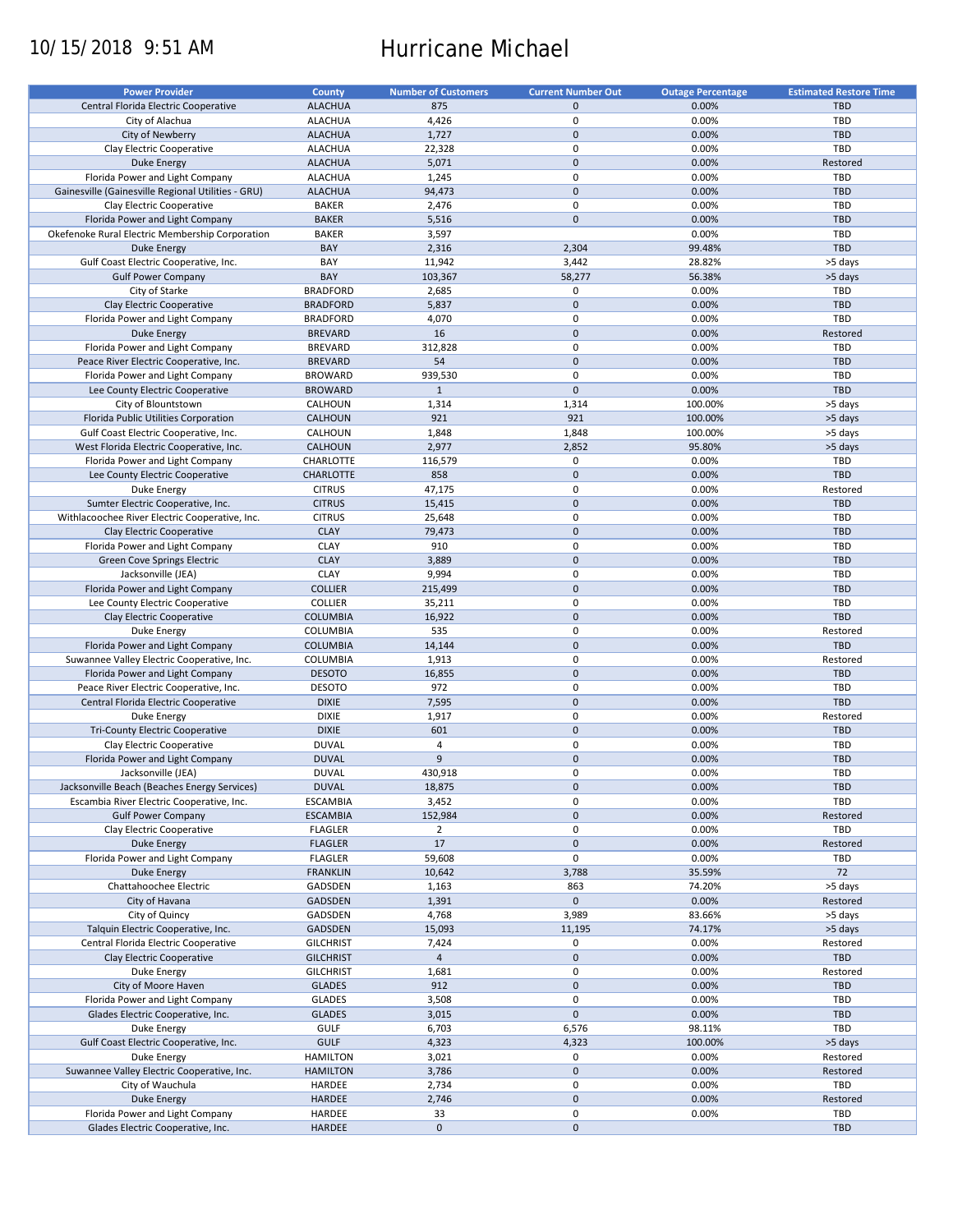# 10/15/2018 9:51 AM Hurricane Michael

| <b>Power Provider</b>                                                                     | <b>County</b>                | <b>Number of Customers</b>       | <b>Current Number Out</b> | <b>Outage Percentage</b> | <b>Estimated Restore Time</b> |
|-------------------------------------------------------------------------------------------|------------------------------|----------------------------------|---------------------------|--------------------------|-------------------------------|
| Central Florida Electric Cooperative                                                      | <b>ALACHUA</b>               | 875                              | $\mathbf 0$               | 0.00%                    | <b>TBD</b>                    |
| City of Alachua                                                                           | <b>ALACHUA</b>               | 4,426                            | 0                         | 0.00%                    | TBD                           |
| City of Newberry                                                                          | <b>ALACHUA</b>               | 1,727                            | $\mathbf{0}$              | 0.00%                    | <b>TBD</b>                    |
| Clay Electric Cooperative                                                                 | <b>ALACHUA</b>               | 22,328                           | 0                         | 0.00%                    | TBD                           |
| <b>Duke Energy</b>                                                                        | <b>ALACHUA</b>               | 5,071                            | $\overline{0}$            | 0.00%                    | Restored                      |
| Florida Power and Light Company                                                           | <b>ALACHUA</b>               | 1,245                            | 0                         | 0.00%                    | TBD                           |
| Gainesville (Gainesville Regional Utilities - GRU)                                        | <b>ALACHUA</b>               | 94,473                           | $\pmb{0}$                 | 0.00%                    | <b>TBD</b>                    |
| Clay Electric Cooperative                                                                 | <b>BAKER</b>                 | 2,476                            | 0                         | 0.00%                    | TBD                           |
| Florida Power and Light Company                                                           | <b>BAKER</b>                 | 5,516                            | $\mathbf 0$               | 0.00%                    | <b>TBD</b>                    |
| Okefenoke Rural Electric Membership Corporation                                           | <b>BAKER</b>                 | 3,597                            |                           | 0.00%                    | TBD                           |
| Duke Energy                                                                               | BAY                          | 2,316                            | 2,304                     | 99.48%                   | <b>TBD</b>                    |
| Gulf Coast Electric Cooperative, Inc.                                                     | BAY<br>BAY                   | 11,942                           | 3,442                     | 28.82%                   | >5 days                       |
| <b>Gulf Power Company</b>                                                                 | <b>BRADFORD</b>              | 103,367                          | 58,277<br>0               | 56.38%                   | >5 days<br>TBD                |
| City of Starke<br>Clay Electric Cooperative                                               | <b>BRADFORD</b>              | 2,685<br>5,837                   | $\mathbf 0$               | 0.00%<br>0.00%           | <b>TBD</b>                    |
| Florida Power and Light Company                                                           | <b>BRADFORD</b>              | 4,070                            | 0                         | 0.00%                    | TBD                           |
| Duke Energy                                                                               | <b>BREVARD</b>               | 16                               | $\mathbf 0$               | 0.00%                    | Restored                      |
| Florida Power and Light Company                                                           | <b>BREVARD</b>               | 312,828                          | 0                         | 0.00%                    | TBD                           |
| Peace River Electric Cooperative, Inc.                                                    | <b>BREVARD</b>               | 54                               | $\mathbf 0$               | 0.00%                    | <b>TBD</b>                    |
| Florida Power and Light Company                                                           | <b>BROWARD</b>               | 939,530                          | $\mathbf 0$               | 0.00%                    | TBD                           |
| Lee County Electric Cooperative                                                           | <b>BROWARD</b>               | $\mathbf{1}$                     | $\mathbf 0$               | 0.00%                    | <b>TBD</b>                    |
| City of Blountstown                                                                       | CALHOUN                      | 1,314                            | 1,314                     | 100.00%                  | >5 days                       |
| Florida Public Utilities Corporation                                                      | CALHOUN                      | 921                              | 921                       | 100.00%                  | >5 days                       |
| Gulf Coast Electric Cooperative, Inc.                                                     | CALHOUN                      | 1,848                            | 1,848                     | 100.00%                  | >5 days                       |
| West Florida Electric Cooperative, Inc.                                                   | CALHOUN                      | 2,977                            | 2,852                     | 95.80%                   | >5 days                       |
| Florida Power and Light Company                                                           | CHARLOTTE                    | 116,579                          | 0                         | 0.00%                    | TBD                           |
| Lee County Electric Cooperative                                                           | <b>CHARLOTTE</b>             | 858                              | $\mathbf 0$               | 0.00%                    | <b>TBD</b>                    |
| Duke Energy                                                                               | <b>CITRUS</b>                | 47,175                           | 0                         | 0.00%                    | Restored                      |
| Sumter Electric Cooperative, Inc.                                                         | <b>CITRUS</b>                | 15,415                           | $\pmb{0}$                 | 0.00%                    | <b>TBD</b>                    |
| Withlacoochee River Electric Cooperative, Inc.                                            | <b>CITRUS</b>                | 25,648                           | 0                         | 0.00%                    | TBD                           |
| Clay Electric Cooperative                                                                 | <b>CLAY</b>                  | 79,473                           | $\mathbf 0$               | 0.00%                    | <b>TBD</b>                    |
| Florida Power and Light Company                                                           | <b>CLAY</b>                  | 910                              | 0                         | 0.00%                    | TBD                           |
| Green Cove Springs Electric                                                               | <b>CLAY</b>                  | 3,889                            | $\pmb{0}$                 | 0.00%                    | <b>TBD</b>                    |
| Jacksonville (JEA)                                                                        | <b>CLAY</b>                  | 9,994                            | 0                         | 0.00%                    | <b>TBD</b>                    |
| Florida Power and Light Company                                                           | <b>COLLIER</b>               | 215,499                          | $\mathbf 0$               | 0.00%                    | <b>TBD</b>                    |
| Lee County Electric Cooperative                                                           | <b>COLLIER</b>               | 35,211                           | 0                         | 0.00%                    | TBD                           |
| Clay Electric Cooperative                                                                 | <b>COLUMBIA</b>              | 16,922                           | $\mathbf 0$               | 0.00%                    | <b>TBD</b>                    |
| Duke Energy                                                                               | <b>COLUMBIA</b>              | 535                              | 0                         | 0.00%                    | Restored                      |
| Florida Power and Light Company                                                           | <b>COLUMBIA</b>              | 14,144                           | $\mathbf 0$               | 0.00%                    | <b>TBD</b>                    |
| Suwannee Valley Electric Cooperative, Inc.                                                | COLUMBIA                     | 1,913                            | 0                         | 0.00%                    | Restored                      |
| Florida Power and Light Company                                                           | <b>DESOTO</b>                | 16,855                           | $\mathbf 0$               | 0.00%                    | <b>TBD</b>                    |
| Peace River Electric Cooperative, Inc.                                                    | <b>DESOTO</b>                | 972                              | $\pmb{0}$                 | 0.00%                    | TBD                           |
| Central Florida Electric Cooperative                                                      | <b>DIXIE</b>                 | 7,595                            | $\mathbf 0$               | 0.00%                    | <b>TBD</b>                    |
| Duke Energy                                                                               | <b>DIXIE</b>                 | 1,917                            | 0                         | 0.00%                    | Restored                      |
| Tri-County Electric Cooperative<br>Clay Electric Cooperative                              | <b>DIXIE</b>                 | 601                              | $\mathbf 0$               | 0.00%                    | <b>TBD</b>                    |
|                                                                                           | <b>DUVAL</b>                 | $\overline{4}$<br>$\overline{9}$ | $\pmb{0}$                 | 0.00%                    | TBD                           |
| Florida Power and Light Company<br>Jacksonville (JEA)                                     | <b>DUVAL</b><br><b>DUVAL</b> |                                  | $\pmb{0}$<br>0            | 0.00%                    | <b>TBD</b><br><b>TBD</b>      |
|                                                                                           | <b>DUVAL</b>                 | 430,918                          | 0                         | 0.00%<br>0.00%           | TBD                           |
| Jacksonville Beach (Beaches Energy Services)<br>Escambia River Electric Cooperative, Inc. | <b>ESCAMBIA</b>              | 18,875<br>3,452                  | 0                         | 0.00%                    | TBD                           |
| <b>Gulf Power Company</b>                                                                 | <b>ESCAMBIA</b>              | 152,984                          | $\mathbf 0$               | 0.00%                    | Restored                      |
| Clay Electric Cooperative                                                                 | <b>FLAGLER</b>               | $\overline{2}$                   | 0                         | 0.00%                    | TBD                           |
| <b>Duke Energy</b>                                                                        | <b>FLAGLER</b>               | 17                               | $\pmb{0}$                 | 0.00%                    | Restored                      |
| Florida Power and Light Company                                                           | <b>FLAGLER</b>               | 59,608                           | 0                         | 0.00%                    | TBD                           |
| <b>Duke Energy</b>                                                                        | <b>FRANKLIN</b>              | 10,642                           | 3,788                     | 35.59%                   | 72                            |
| Chattahoochee Electric                                                                    | GADSDEN                      | 1,163                            | 863                       | 74.20%                   | >5 days                       |
| City of Havana                                                                            | <b>GADSDEN</b>               | 1,391                            | $\mathbf 0$               | 0.00%                    | Restored                      |
| City of Quincy                                                                            | GADSDEN                      | 4,768                            | 3,989                     | 83.66%                   | >5 days                       |
| Talquin Electric Cooperative, Inc.                                                        | GADSDEN                      | 15,093                           | 11,195                    | 74.17%                   | >5 days                       |
| Central Florida Electric Cooperative                                                      | <b>GILCHRIST</b>             | 7,424                            | 0                         | 0.00%                    | Restored                      |
| Clay Electric Cooperative                                                                 | <b>GILCHRIST</b>             | $\overline{4}$                   | $\mathbf 0$               | 0.00%                    | TBD                           |
| Duke Energy                                                                               | <b>GILCHRIST</b>             | 1,681                            | 0                         | 0.00%                    | Restored                      |
| City of Moore Haven                                                                       | <b>GLADES</b>                | 912                              | $\pmb{0}$                 | 0.00%                    | <b>TBD</b>                    |
| Florida Power and Light Company                                                           | <b>GLADES</b>                | 3,508                            | 0                         | 0.00%                    | TBD                           |
| Glades Electric Cooperative, Inc.                                                         | <b>GLADES</b>                | 3,015                            | $\mathbf 0$               | 0.00%                    | <b>TBD</b>                    |
| Duke Energy                                                                               | <b>GULF</b>                  | 6,703                            | 6,576                     | 98.11%                   | TBD                           |
| Gulf Coast Electric Cooperative, Inc.                                                     | <b>GULF</b>                  | 4,323                            | 4,323                     | 100.00%                  | >5 days                       |
| Duke Energy                                                                               | <b>HAMILTON</b>              | 3,021                            | 0                         | 0.00%                    | Restored                      |
| Suwannee Valley Electric Cooperative, Inc.                                                | <b>HAMILTON</b>              | 3,786                            | $\pmb{0}$                 | 0.00%                    | Restored                      |
| City of Wauchula                                                                          | HARDEE                       | 2,734                            | 0                         | 0.00%                    | TBD                           |
| <b>Duke Energy</b>                                                                        | HARDEE                       | 2,746                            | $\mathbf 0$               | 0.00%                    | Restored                      |
| Florida Power and Light Company                                                           | HARDEE                       | 33                               | 0                         | 0.00%                    | TBD                           |
| Glades Electric Cooperative, Inc.                                                         | HARDEE                       | $\mathbf 0$                      | $\pmb{0}$                 |                          | <b>TBD</b>                    |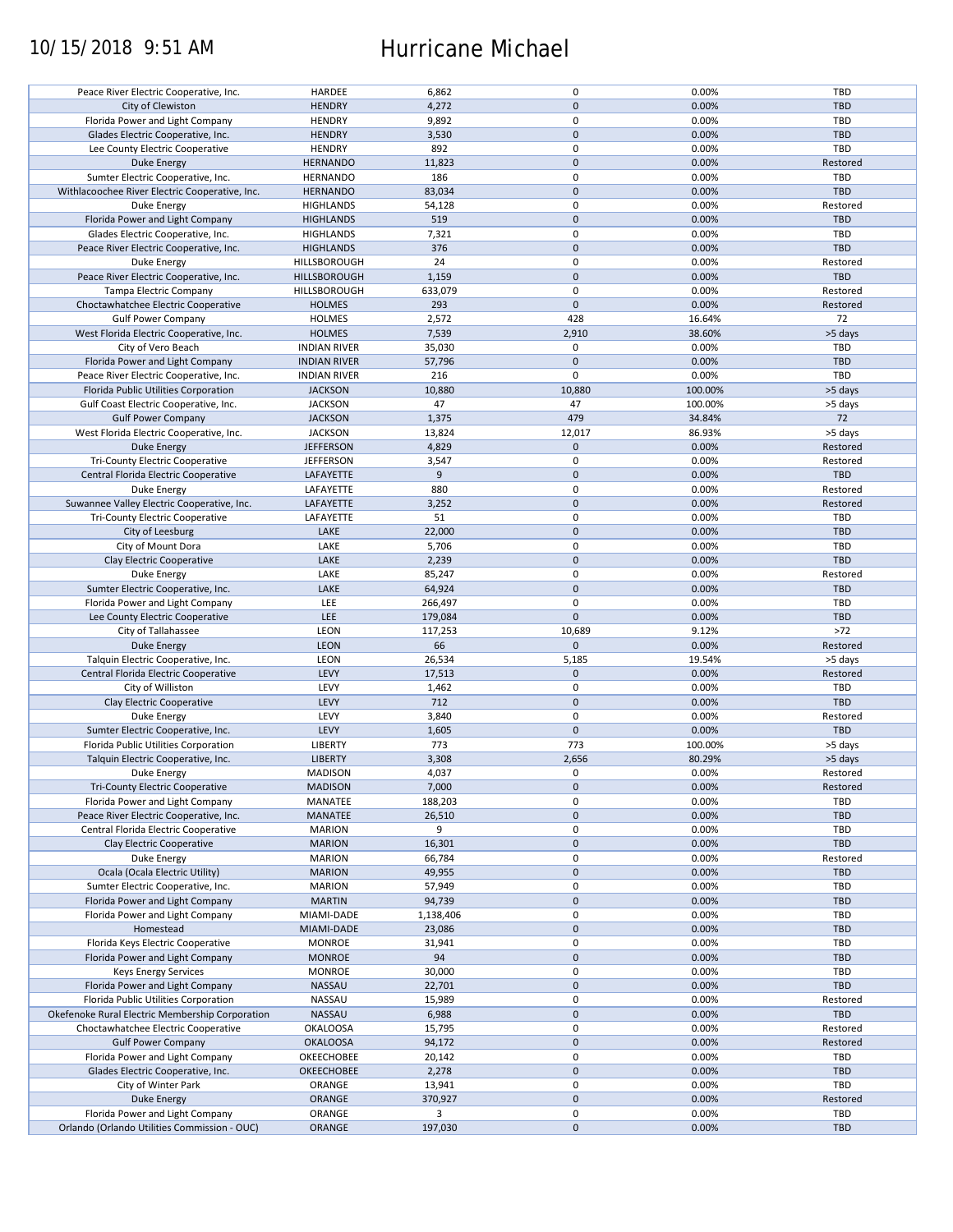## 10/15/2018 9:51 AM Hurricane Michael

| Peace River Electric Cooperative, Inc.          | HARDEE              | 6,862     | $\pmb{0}$           | 0.00%   | TBD        |
|-------------------------------------------------|---------------------|-----------|---------------------|---------|------------|
| City of Clewiston                               | <b>HENDRY</b>       | 4,272     | $\mathbf 0$         | 0.00%   | <b>TBD</b> |
| Florida Power and Light Company                 | <b>HENDRY</b>       | 9,892     | 0                   | 0.00%   | TBD        |
|                                                 |                     |           |                     |         |            |
| Glades Electric Cooperative, Inc.               | <b>HENDRY</b>       | 3,530     | $\mathbf 0$         | 0.00%   | <b>TBD</b> |
| Lee County Electric Cooperative                 | <b>HENDRY</b>       | 892       | $\pmb{0}$           | 0.00%   | TBD        |
| Duke Energy                                     | <b>HERNANDO</b>     | 11,823    | $\mathbf 0$         | 0.00%   | Restored   |
|                                                 |                     |           |                     |         |            |
| Sumter Electric Cooperative, Inc.               | <b>HERNANDO</b>     | 186       | 0                   | 0.00%   | <b>TBD</b> |
| Withlacoochee River Electric Cooperative, Inc.  | <b>HERNANDO</b>     | 83,034    | $\mathbf 0$         | 0.00%   | <b>TBD</b> |
| Duke Energy                                     | <b>HIGHLANDS</b>    | 54,128    | 0                   | 0.00%   | Restored   |
|                                                 |                     | 519       | $\mathbf 0$         | 0.00%   | <b>TBD</b> |
| Florida Power and Light Company                 | <b>HIGHLANDS</b>    |           |                     |         |            |
| Glades Electric Cooperative, Inc.               | <b>HIGHLANDS</b>    | 7,321     | 0                   | 0.00%   | TBD        |
| Peace River Electric Cooperative, Inc.          | <b>HIGHLANDS</b>    | 376       | $\mathbf{0}$        | 0.00%   | <b>TBD</b> |
| Duke Energy                                     | HILLSBOROUGH        | 24        | $\mathbf 0$         | 0.00%   | Restored   |
|                                                 |                     |           |                     |         |            |
| Peace River Electric Cooperative, Inc.          | HILLSBOROUGH        | 1,159     | $\mathbf 0$         | 0.00%   | <b>TBD</b> |
| Tampa Electric Company                          | HILLSBOROUGH        | 633,079   | 0                   | 0.00%   | Restored   |
| Choctawhatchee Electric Cooperative             | <b>HOLMES</b>       | 293       | $\mathbf 0$         | 0.00%   | Restored   |
|                                                 |                     |           |                     |         |            |
| <b>Gulf Power Company</b>                       | <b>HOLMES</b>       | 2,572     | 428                 | 16.64%  | 72         |
| West Florida Electric Cooperative, Inc.         | <b>HOLMES</b>       | 7,539     | 2,910               | 38.60%  | >5 days    |
| City of Vero Beach                              | <b>INDIAN RIVER</b> | 35,030    | $\mathbf 0$         | 0.00%   | <b>TBD</b> |
|                                                 |                     |           |                     |         |            |
| Florida Power and Light Company                 | <b>INDIAN RIVER</b> | 57,796    | $\mathbf 0$         | 0.00%   | <b>TBD</b> |
| Peace River Electric Cooperative, Inc.          | <b>INDIAN RIVER</b> | 216       | $\mathbf 0$         | 0.00%   | TBD        |
| Florida Public Utilities Corporation            | <b>JACKSON</b>      | 10,880    | 10,880              | 100.00% | >5 days    |
|                                                 |                     |           |                     |         |            |
| Gulf Coast Electric Cooperative, Inc.           | <b>JACKSON</b>      | 47        | 47                  | 100.00% | >5 days    |
| <b>Gulf Power Company</b>                       | <b>JACKSON</b>      | 1,375     | 479                 | 34.84%  | 72         |
| West Florida Electric Cooperative, Inc.         | <b>JACKSON</b>      | 13,824    | 12,017              | 86.93%  | >5 days    |
| <b>Duke Energy</b>                              |                     |           | $\mathbf 0$         | 0.00%   | Restored   |
|                                                 | <b>JEFFERSON</b>    | 4,829     |                     |         |            |
| <b>Tri-County Electric Cooperative</b>          | <b>JEFFERSON</b>    | 3,547     | $\pmb{0}$           | 0.00%   | Restored   |
| Central Florida Electric Cooperative            | LAFAYETTE           | 9         | $\mathbf 0$         | 0.00%   | <b>TBD</b> |
|                                                 |                     |           |                     |         |            |
| <b>Duke Energy</b>                              | LAFAYETTE           | 880       | $\pmb{0}$           | 0.00%   | Restored   |
| Suwannee Valley Electric Cooperative, Inc.      | <b>LAFAYETTE</b>    | 3,252     | $\mathbf 0$         | 0.00%   | Restored   |
| <b>Tri-County Electric Cooperative</b>          | LAFAYETTE           | 51        | $\pmb{0}$           | 0.00%   | TBD        |
|                                                 |                     |           |                     |         |            |
| City of Leesburg                                | LAKE                | 22,000    | $\mathbf 0$         | 0.00%   | <b>TBD</b> |
| City of Mount Dora                              | LAKE                | 5,706     | 0                   | 0.00%   | TBD        |
| Clay Electric Cooperative                       | LAKE                | 2,239     | $\mathbf 0$         | 0.00%   | <b>TBD</b> |
|                                                 |                     |           |                     |         |            |
| Duke Energy                                     | LAKE                | 85,247    | 0                   | 0.00%   | Restored   |
| Sumter Electric Cooperative, Inc.               | LAKE                | 64,924    | $\mathbf 0$         | 0.00%   | <b>TBD</b> |
| Florida Power and Light Company                 | LEE                 | 266,497   | $\pmb{0}$           | 0.00%   | TBD        |
| Lee County Electric Cooperative                 | LEE                 | 179,084   | $\mathbf 0$         | 0.00%   | TBD        |
|                                                 |                     |           |                     |         |            |
| City of Tallahassee                             | <b>LEON</b>         | 117,253   | 10,689              | 9.12%   | $>72$      |
| <b>Duke Energy</b>                              | <b>LEON</b>         | 66        | $\mathbf{0}$        | 0.00%   | Restored   |
| Talquin Electric Cooperative, Inc.              | LEON                | 26,534    | 5,185               | 19.54%  | >5 days    |
|                                                 |                     |           |                     |         |            |
| Central Florida Electric Cooperative            | LEVY                | 17,513    | $\mathbf{0}$        | 0.00%   | Restored   |
| City of Williston                               | LEVY                | 1,462     | $\pmb{0}$           | 0.00%   | TBD        |
| Clay Electric Cooperative                       | LEVY                | 712       | $\mathbf 0$         | 0.00%   | <b>TBD</b> |
|                                                 |                     |           |                     |         |            |
| Duke Energy                                     | LEVY                | 3,840     | 0                   | 0.00%   | Restored   |
| Sumter Electric Cooperative, Inc.               | LEVY                | 1,605     | $\mathbf{0}$        | 0.00%   | <b>TBD</b> |
| Florida Public Utilities Corporation            | <b>LIBERTY</b>      | 773       | 773                 | 100.00% | >5 days    |
|                                                 |                     |           |                     |         |            |
| Talquin Electric Cooperative, Inc.              | <b>LIBERTY</b>      | 3,308     | 2,656               | 80.29%  | >5 days    |
| Duke Energy                                     | MADISON             | 4,037     | $\mathbf 0$         | 0.00%   | Restored   |
| Tri-County Electric Cooperative                 | <b>MADISON</b>      | 7,000     | $\mathbf 0$         | 0.00%   | Restored   |
|                                                 |                     |           |                     |         |            |
| Florida Power and Light Company                 | MANATEE             | 188,203   | 0                   | 0.00%   | TBD        |
| Peace River Electric Cooperative, Inc.          | MANATEE             | 26,510    | $\mathbf 0$         | 0.00%   | <b>TBD</b> |
| Central Florida Electric Cooperative            | <b>MARION</b>       | 9         | 0                   | 0.00%   | TBD        |
|                                                 |                     |           |                     |         |            |
| Clay Electric Cooperative                       | <b>MARION</b>       | 16,301    | $\mathbf 0$         | 0.00%   | <b>TBD</b> |
| Duke Energy                                     | <b>MARION</b>       | 66,784    | 0                   | 0.00%   | Restored   |
| Ocala (Ocala Electric Utility)                  | <b>MARION</b>       | 49,955    | $\mathbf 0$         | 0.00%   | <b>TBD</b> |
|                                                 |                     |           |                     |         |            |
| Sumter Electric Cooperative, Inc.               | <b>MARION</b>       | 57,949    | 0                   | 0.00%   | TBD        |
| Florida Power and Light Company                 | <b>MARTIN</b>       | 94,739    | $\pmb{0}$           | 0.00%   | <b>TBD</b> |
| Florida Power and Light Company                 | MIAMI-DADE          | 1,138,406 | 0                   | 0.00%   | TBD        |
| Homestead                                       |                     |           | $\mathbf 0$         | 0.00%   | <b>TBD</b> |
|                                                 | MIAMI-DADE          | 23,086    |                     |         |            |
| Florida Keys Electric Cooperative               | <b>MONROE</b>       | 31,941    | $\pmb{0}$           | 0.00%   | TBD        |
| Florida Power and Light Company                 | <b>MONROE</b>       | 94        | $\mathbf 0$         | 0.00%   | <b>TBD</b> |
| <b>Keys Energy Services</b>                     | <b>MONROE</b>       | 30,000    | 0                   | 0.00%   | TBD        |
|                                                 |                     |           |                     |         |            |
| Florida Power and Light Company                 | NASSAU              | 22,701    | $\pmb{0}$           | 0.00%   | TBD        |
| Florida Public Utilities Corporation            | NASSAU              | 15,989    | $\mathbf 0$         | 0.00%   | Restored   |
| Okefenoke Rural Electric Membership Corporation | NASSAU              | 6,988     | $\mathbf 0$         | 0.00%   | <b>TBD</b> |
|                                                 |                     |           |                     |         |            |
| Choctawhatchee Electric Cooperative             | <b>OKALOOSA</b>     | 15,795    | $\pmb{0}$           | 0.00%   | Restored   |
| <b>Gulf Power Company</b>                       | <b>OKALOOSA</b>     | 94,172    | $\mathbf 0$         | 0.00%   | Restored   |
| Florida Power and Light Company                 | OKEECHOBEE          | 20,142    | $\pmb{0}$           | 0.00%   | TBD        |
|                                                 |                     |           |                     |         |            |
| Glades Electric Cooperative, Inc.               | <b>OKEECHOBEE</b>   | 2,278     | $\pmb{0}$           | 0.00%   | TBD        |
| City of Winter Park                             | ORANGE              | 13,941    | $\pmb{0}$           | 0.00%   | TBD        |
| <b>Duke Energy</b>                              | ORANGE              | 370,927   | $\pmb{0}$           | 0.00%   | Restored   |
|                                                 |                     |           |                     |         |            |
| Florida Power and Light Company                 | ORANGE              | 3         | $\pmb{0}$           | 0.00%   | TBD        |
| Orlando (Orlando Utilities Commission - OUC)    | ORANGE              | 197,030   | $\mathsf{O}\xspace$ | 0.00%   | <b>TBD</b> |
|                                                 |                     |           |                     |         |            |